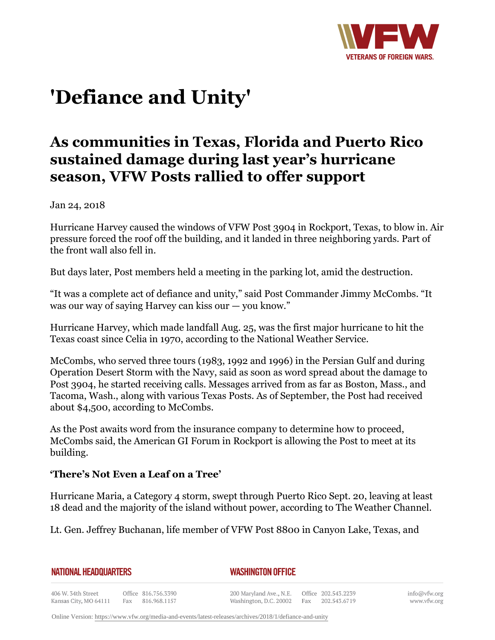

# **'Defiance and Unity'**

## **As communities in Texas, Florida and Puerto Rico sustained damage during last year's hurricane season, VFW Posts rallied to offer support**

Jan 24, 2018

Hurricane Harvey caused the windows of VFW Post 3904 in Rockport, Texas, to blow in. Air pressure forced the roof off the building, and it landed in three neighboring yards. Part of the front wall also fell in.

But days later, Post members held a meeting in the parking lot, amid the destruction.

"It was a complete act of defiance and unity," said Post Commander Jimmy McCombs. "It was our way of saying Harvey can kiss our — you know."

Hurricane Harvey, which made landfall Aug. 25, was the first major hurricane to hit the Texas coast since Celia in 1970, according to the National Weather Service.

McCombs, who served three tours (1983, 1992 and 1996) in the Persian Gulf and during Operation Desert Storm with the Navy, said as soon as word spread about the damage to Post 3904, he started receiving calls. Messages arrived from as far as Boston, Mass., and Tacoma, Wash., along with various Texas Posts. As of September, the Post had received about \$4,500, according to McCombs.

As the Post awaits word from the insurance company to determine how to proceed, McCombs said, the American GI Forum in Rockport is allowing the Post to meet at its building.

### **'There's Not Even a Leaf on a Tree'**

Hurricane Maria, a Category 4 storm, swept through Puerto Rico Sept. 20, leaving at least 18 dead and the majority of the island without power, according to The Weather Channel.

Lt. Gen. Jeffrey Buchanan, life member of VFW Post 8800 in Canyon Lake, Texas, and

| <b>NATIONAL HEADQUARTERS</b> |
|------------------------------|
|------------------------------|

*WASHINGTON OFFICE*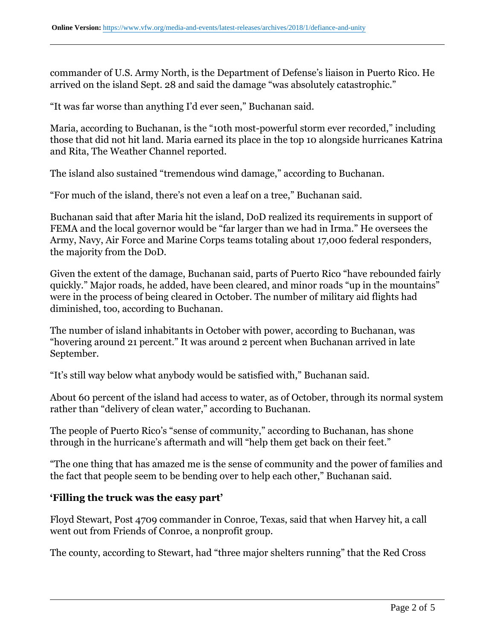commander of U.S. Army North, is the Department of Defense's liaison in Puerto Rico. He arrived on the island Sept. 28 and said the damage "was absolutely catastrophic."

"It was far worse than anything I'd ever seen," Buchanan said.

Maria, according to Buchanan, is the "10th most-powerful storm ever recorded," including those that did not hit land. Maria earned its place in the top 10 alongside hurricanes Katrina and Rita, The Weather Channel reported.

The island also sustained "tremendous wind damage," according to Buchanan.

"For much of the island, there's not even a leaf on a tree," Buchanan said.

Buchanan said that after Maria hit the island, DoD realized its requirements in support of FEMA and the local governor would be "far larger than we had in Irma." He oversees the Army, Navy, Air Force and Marine Corps teams totaling about 17,000 federal responders, the majority from the DoD.

Given the extent of the damage, Buchanan said, parts of Puerto Rico "have rebounded fairly quickly." Major roads, he added, have been cleared, and minor roads "up in the mountains" were in the process of being cleared in October. The number of military aid flights had diminished, too, according to Buchanan.

The number of island inhabitants in October with power, according to Buchanan, was "hovering around 21 percent." It was around 2 percent when Buchanan arrived in late September.

"It's still way below what anybody would be satisfied with," Buchanan said.

About 60 percent of the island had access to water, as of October, through its normal system rather than "delivery of clean water," according to Buchanan.

The people of Puerto Rico's "sense of community," according to Buchanan, has shone through in the hurricane's aftermath and will "help them get back on their feet."

"The one thing that has amazed me is the sense of community and the power of families and the fact that people seem to be bending over to help each other," Buchanan said.

#### **'Filling the truck was the easy part'**

Floyd Stewart, Post 4709 commander in Conroe, Texas, said that when Harvey hit, a call went out from Friends of Conroe, a nonprofit group.

The county, according to Stewart, had "three major shelters running" that the Red Cross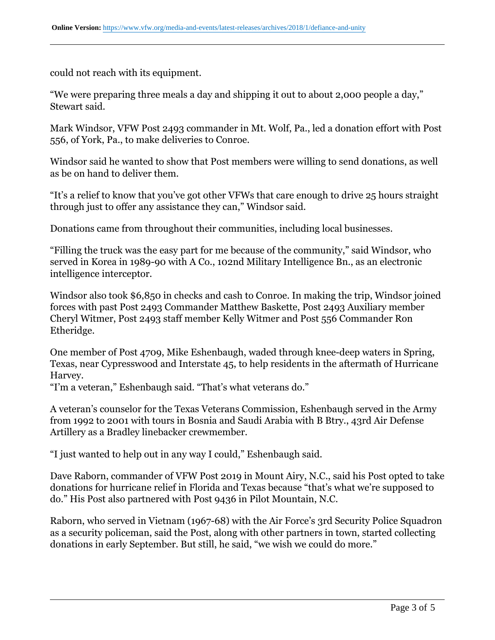could not reach with its equipment.

"We were preparing three meals a day and shipping it out to about 2,000 people a day," Stewart said.

Mark Windsor, VFW Post 2493 commander in Mt. Wolf, Pa., led a donation effort with Post 556, of York, Pa., to make deliveries to Conroe.

Windsor said he wanted to show that Post members were willing to send donations, as well as be on hand to deliver them.

"It's a relief to know that you've got other VFWs that care enough to drive 25 hours straight through just to offer any assistance they can," Windsor said.

Donations came from throughout their communities, including local businesses.

"Filling the truck was the easy part for me because of the community," said Windsor, who served in Korea in 1989-90 with A Co., 102nd Military Intelligence Bn., as an electronic intelligence interceptor.

Windsor also took \$6,850 in checks and cash to Conroe. In making the trip, Windsor joined forces with past Post 2493 Commander Matthew Baskette, Post 2493 Auxiliary member Cheryl Witmer, Post 2493 staff member Kelly Witmer and Post 556 Commander Ron Etheridge.

One member of Post 4709, Mike Eshenbaugh, waded through knee-deep waters in Spring, Texas, near Cypresswood and Interstate 45, to help residents in the aftermath of Hurricane Harvey.

"I'm a veteran," Eshenbaugh said. "That's what veterans do."

A veteran's counselor for the Texas Veterans Commission, Eshenbaugh served in the Army from 1992 to 2001 with tours in Bosnia and Saudi Arabia with B Btry., 43rd Air Defense Artillery as a Bradley linebacker crewmember.

"I just wanted to help out in any way I could," Eshenbaugh said.

Dave Raborn, commander of VFW Post 2019 in Mount Airy, N.C., said his Post opted to take donations for hurricane relief in Florida and Texas because "that's what we're supposed to do." His Post also partnered with Post 9436 in Pilot Mountain, N.C.

Raborn, who served in Vietnam (1967-68) with the Air Force's 3rd Security Police Squadron as a security policeman, said the Post, along with other partners in town, started collecting donations in early September. But still, he said, "we wish we could do more."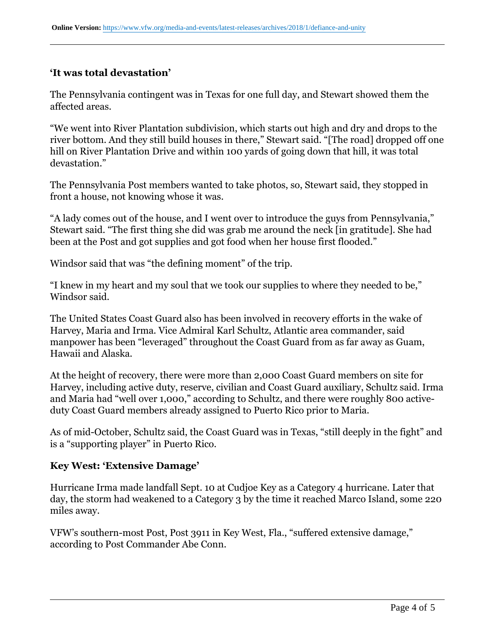#### **'It was total devastation'**

The Pennsylvania contingent was in Texas for one full day, and Stewart showed them the affected areas.

"We went into River Plantation subdivision, which starts out high and dry and drops to the river bottom. And they still build houses in there," Stewart said. "[The road] dropped off one hill on River Plantation Drive and within 100 yards of going down that hill, it was total devastation."

The Pennsylvania Post members wanted to take photos, so, Stewart said, they stopped in front a house, not knowing whose it was.

"A lady comes out of the house, and I went over to introduce the guys from Pennsylvania," Stewart said. "The first thing she did was grab me around the neck [in gratitude]. She had been at the Post and got supplies and got food when her house first flooded."

Windsor said that was "the defining moment" of the trip.

"I knew in my heart and my soul that we took our supplies to where they needed to be," Windsor said.

The United States Coast Guard also has been involved in recovery efforts in the wake of Harvey, Maria and Irma. Vice Admiral Karl Schultz, Atlantic area commander, said manpower has been "leveraged" throughout the Coast Guard from as far away as Guam, Hawaii and Alaska.

At the height of recovery, there were more than 2,000 Coast Guard members on site for Harvey, including active duty, reserve, civilian and Coast Guard auxiliary, Schultz said. Irma and Maria had "well over 1,000," according to Schultz, and there were roughly 800 activeduty Coast Guard members already assigned to Puerto Rico prior to Maria.

As of mid-October, Schultz said, the Coast Guard was in Texas, "still deeply in the fight" and is a "supporting player" in Puerto Rico.

#### **Key West: 'Extensive Damage'**

Hurricane Irma made landfall Sept. 10 at Cudjoe Key as a Category 4 hurricane. Later that day, the storm had weakened to a Category 3 by the time it reached Marco Island, some 220 miles away.

VFW's southern-most Post, Post 3911 in Key West, Fla., "suffered extensive damage," according to Post Commander Abe Conn.